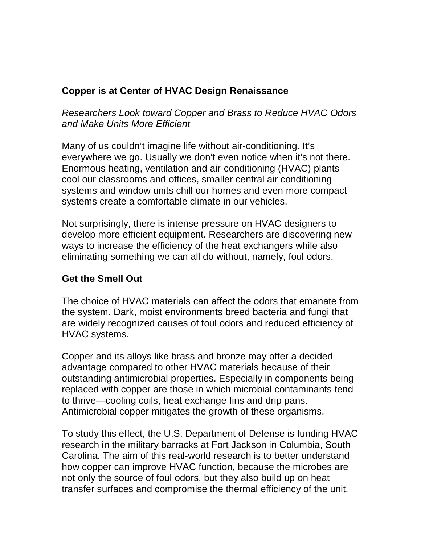## **Copper is at Center of HVAC Design Renaissance**

*Researchers Look toward Copper and Brass to Reduce HVAC Odors and Make Units More Efficient* 

Many of us couldn't imagine life without air-conditioning. It's everywhere we go. Usually we don't even notice when it's not there. Enormous heating, ventilation and air-conditioning (HVAC) plants cool our classrooms and offices, smaller central air conditioning systems and window units chill our homes and even more compact systems create a comfortable climate in our vehicles.

Not surprisingly, there is intense pressure on HVAC designers to develop more efficient equipment. Researchers are discovering new ways to increase the efficiency of the heat exchangers while also eliminating something we can all do without, namely, foul odors.

## **Get the Smell Out**

The choice of HVAC materials can affect the odors that emanate from the system. Dark, moist environments breed bacteria and fungi that are widely recognized causes of foul odors and reduced efficiency of HVAC systems.

Copper and its alloys like brass and bronze may offer a decided advantage compared to other HVAC materials because of their outstanding antimicrobial properties. Especially in components being replaced with copper are those in which microbial contaminants tend to thrive—cooling coils, heat exchange fins and drip pans. Antimicrobial copper mitigates the growth of these organisms.

To study this effect, the U.S. Department of Defense is funding HVAC research in the military barracks at Fort Jackson in Columbia, South Carolina. The aim of this real-world research is to better understand how copper can improve HVAC function, because the microbes are not only the source of foul odors, but they also build up on heat transfer surfaces and compromise the thermal efficiency of the unit.